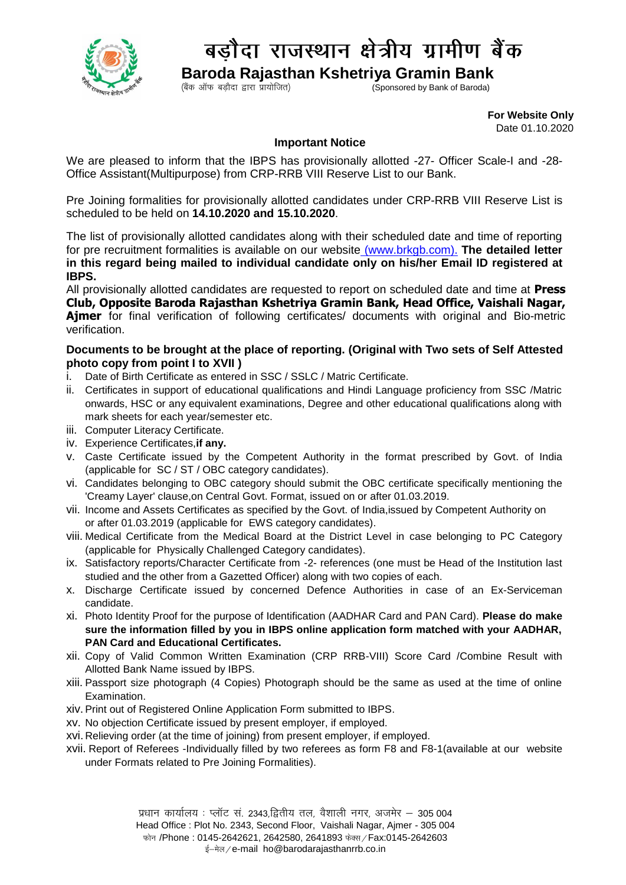

## बडौदा राजस्थान क्षेत्रीय ग्रामीण बैंक

**Baroda Rajasthan Kshetriya Gramin Bank**<br>(Sponsored by Bank of Baroda)

Sponsored by Bank of Baroda)

 **For Website Only**  Date 01.10.2020

## **Important Notice**

We are pleased to inform that the IBPS has provisionally allotted -27- Officer Scale-I and -28- Office Assistant(Multipurpose) from CRP-RRB VIII Reserve List to our Bank.

Pre Joining formalities for provisionally allotted candidates under CRP-RRB VIII Reserve List is scheduled to be held on **14.10.2020 and 15.10.2020**.

The list of provisionally allotted candidates along with their scheduled date and time of reporting for pre recruitment formalities is available on our website [\(www.brkgb.com\)](http://www.brkgb.com/). **The detailed letter in this regard being mailed to individual candidate only on his/her Email ID registered at IBPS.**

All provisionally allotted candidates are requested to report on scheduled date and time at **Press Club, Opposite Baroda Rajasthan Kshetriya Gramin Bank, Head Office, Vaishali Nagar, Ajmer** for final verification of following certificates/ documents with original and Bio-metric verification.

## **Documents to be brought at the place of reporting. (Original with Two sets of Self Attested photo copy from point I to XVII )**

- i. Date of Birth Certificate as entered in SSC / SSLC / Matric Certificate.
- ii. Certificates in support of educational qualifications and Hindi Language proficiency from SSC /Matric onwards, HSC or any equivalent examinations, Degree and other educational qualifications along with mark sheets for each year/semester etc.
- iii. Computer Literacy Certificate.
- iv. Experience Certificates,**if any.**
- v. Caste Certificate issued by the Competent Authority in the format prescribed by Govt. of India (applicable for SC / ST / OBC category candidates).
- vi. Candidates belonging to OBC category should submit the OBC certificate specifically mentioning the 'Creamy Layer' clause,on Central Govt. Format, issued on or after 01.03.2019.
- vii. Income and Assets Certificates as specified by the Govt. of India,issued by Competent Authority on or after 01.03.2019 (applicable for EWS category candidates).
- viii. Medical Certificate from the Medical Board at the District Level in case belonging to PC Category (applicable for Physically Challenged Category candidates).
- ix. Satisfactory reports/Character Certificate from -2- references (one must be Head of the Institution last studied and the other from a Gazetted Officer) along with two copies of each.
- x. Discharge Certificate issued by concerned Defence Authorities in case of an Ex-Serviceman candidate.
- xi. Photo Identity Proof for the purpose of Identification (AADHAR Card and PAN Card). **Please do make sure the information filled by you in IBPS online application form matched with your AADHAR, PAN Card and Educational Certificates.**
- xii. Copy of Valid Common Written Examination (CRP RRB-VIII) Score Card /Combine Result with Allotted Bank Name issued by IBPS.
- xiii. Passport size photograph (4 Copies) Photograph should be the same as used at the time of online Examination.
- xiv.Print out of Registered Online Application Form submitted to IBPS.
- xv. No objection Certificate issued by present employer, if employed.
- xvi. Relieving order (at the time of joining) from present employer, if employed.
- xvii. Report of Referees -Individually filled by two referees as form F8 and F8-1(available at our website under Formats related to Pre Joining Formalities).

प्रधान कार्यालय: प्लॉट सं. 2343,द्वितीय तल, वैशाली नगर, अजमेर – 305 004

Head Office : Plot No. 2343, Second Floor, Vaishali Nagar, Ajmer - 305 004

फोन /Phone: 0145-2642621, 2642580, 2641893 फेक्स / Fax:0145-2642603

ई-मेल / e-mail ho@barodarajasthanrrb.co.in